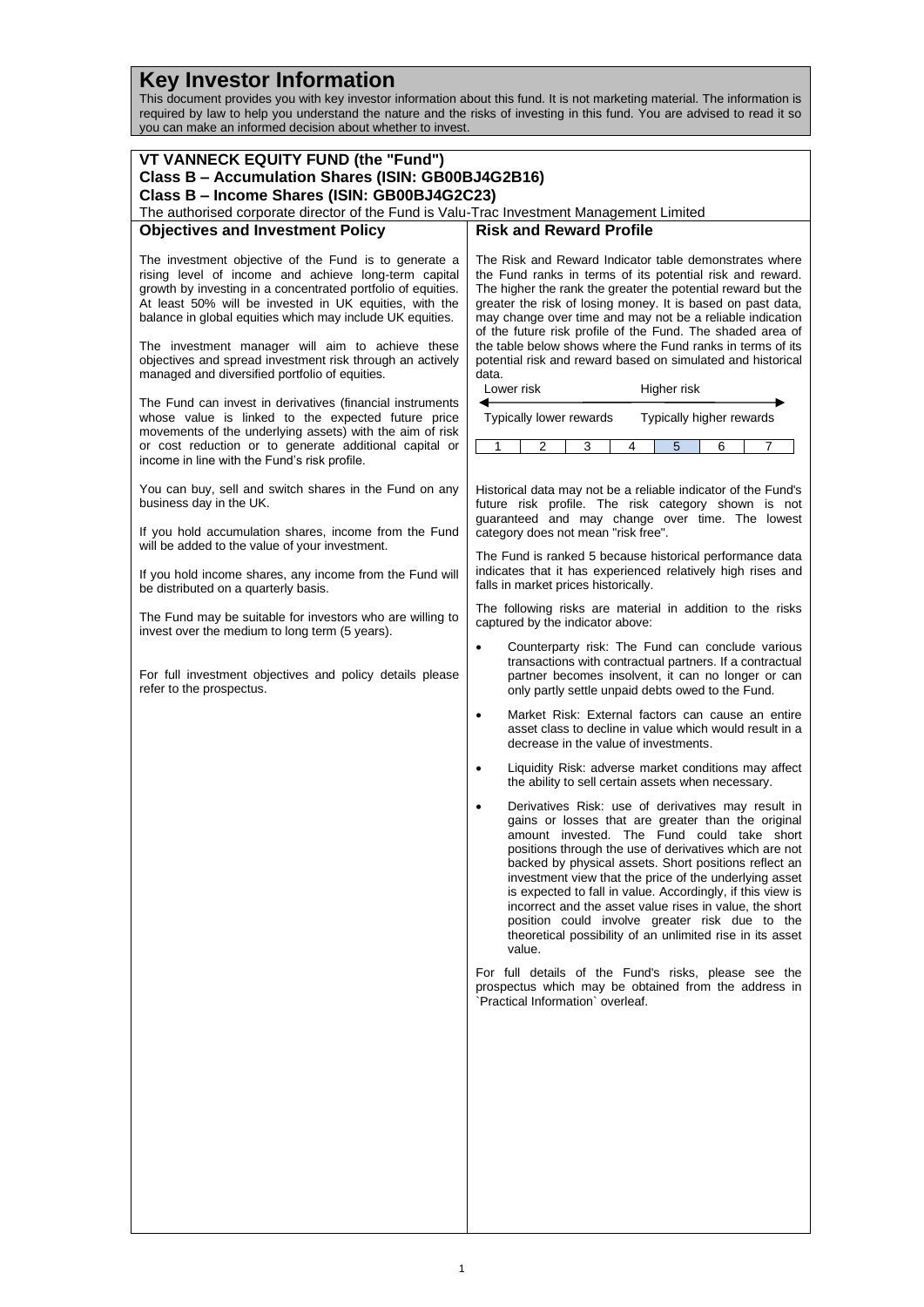## **Key Investor Information**

This document provides you with key investor information about this fund. It is not marketing material. The information is required by law to help you understand the nature and the risks of investing in this fund. You are advised to read it so you can make an informed decision about whether to invest.

| VT VANNECK EQUITY FUND (the "Fund")<br>Class B - Accumulation Shares (ISIN: GB00BJ4G2B16)<br>Class B - Income Shares (ISIN: GB00BJ4G2C23)                                                                                                                                                                                                                |                                                                                                                                                                                                                                                                                                                                                                                                                                                                                                                                                                                       |
|----------------------------------------------------------------------------------------------------------------------------------------------------------------------------------------------------------------------------------------------------------------------------------------------------------------------------------------------------------|---------------------------------------------------------------------------------------------------------------------------------------------------------------------------------------------------------------------------------------------------------------------------------------------------------------------------------------------------------------------------------------------------------------------------------------------------------------------------------------------------------------------------------------------------------------------------------------|
| The authorised corporate director of the Fund is Valu-Trac Investment Management Limited                                                                                                                                                                                                                                                                 |                                                                                                                                                                                                                                                                                                                                                                                                                                                                                                                                                                                       |
| <b>Objectives and Investment Policy</b>                                                                                                                                                                                                                                                                                                                  | <b>Risk and Reward Profile</b>                                                                                                                                                                                                                                                                                                                                                                                                                                                                                                                                                        |
| The investment objective of the Fund is to generate a<br>rising level of income and achieve long-term capital<br>growth by investing in a concentrated portfolio of equities.<br>At least 50% will be invested in UK equities, with the<br>balance in global equities which may include UK equities.<br>The investment manager will aim to achieve these | The Risk and Reward Indicator table demonstrates where<br>the Fund ranks in terms of its potential risk and reward.<br>The higher the rank the greater the potential reward but the<br>greater the risk of losing money. It is based on past data,<br>may change over time and may not be a reliable indication<br>of the future risk profile of the Fund. The shaded area of<br>the table below shows where the Fund ranks in terms of its                                                                                                                                           |
| objectives and spread investment risk through an actively<br>managed and diversified portfolio of equities.                                                                                                                                                                                                                                              | potential risk and reward based on simulated and historical<br>data.                                                                                                                                                                                                                                                                                                                                                                                                                                                                                                                  |
| The Fund can invest in derivatives (financial instruments<br>whose value is linked to the expected future price<br>movements of the underlying assets) with the aim of risk<br>or cost reduction or to generate additional capital or                                                                                                                    | Higher risk<br>Lower risk<br>Typically lower rewards<br>Typically higher rewards<br>2<br>3<br>5<br>6<br>1<br>4<br>7                                                                                                                                                                                                                                                                                                                                                                                                                                                                   |
| income in line with the Fund's risk profile.                                                                                                                                                                                                                                                                                                             |                                                                                                                                                                                                                                                                                                                                                                                                                                                                                                                                                                                       |
| You can buy, sell and switch shares in the Fund on any<br>business day in the UK.                                                                                                                                                                                                                                                                        | Historical data may not be a reliable indicator of the Fund's<br>future risk profile. The risk category shown is not<br>guaranteed and may change over time. The lowest                                                                                                                                                                                                                                                                                                                                                                                                               |
| If you hold accumulation shares, income from the Fund<br>will be added to the value of your investment.                                                                                                                                                                                                                                                  | category does not mean "risk free".<br>The Fund is ranked 5 because historical performance data                                                                                                                                                                                                                                                                                                                                                                                                                                                                                       |
| If you hold income shares, any income from the Fund will<br>be distributed on a quarterly basis.                                                                                                                                                                                                                                                         | indicates that it has experienced relatively high rises and<br>falls in market prices historically.                                                                                                                                                                                                                                                                                                                                                                                                                                                                                   |
| The Fund may be suitable for investors who are willing to<br>invest over the medium to long term (5 years).                                                                                                                                                                                                                                              | The following risks are material in addition to the risks<br>captured by the indicator above:                                                                                                                                                                                                                                                                                                                                                                                                                                                                                         |
| For full investment objectives and policy details please<br>refer to the prospectus.                                                                                                                                                                                                                                                                     | Counterparty risk: The Fund can conclude various<br>$\bullet$<br>transactions with contractual partners. If a contractual<br>partner becomes insolvent, it can no longer or can<br>only partly settle unpaid debts owed to the Fund.                                                                                                                                                                                                                                                                                                                                                  |
|                                                                                                                                                                                                                                                                                                                                                          | Market Risk: External factors can cause an entire<br>$\bullet$<br>asset class to decline in value which would result in a<br>decrease in the value of investments.                                                                                                                                                                                                                                                                                                                                                                                                                    |
|                                                                                                                                                                                                                                                                                                                                                          | Liquidity Risk: adverse market conditions may affect<br>٠<br>the ability to sell certain assets when necessary.                                                                                                                                                                                                                                                                                                                                                                                                                                                                       |
|                                                                                                                                                                                                                                                                                                                                                          | Derivatives Risk: use of derivatives may result in<br>gains or losses that are greater than the original<br>amount invested. The Fund could take short<br>positions through the use of derivatives which are not<br>backed by physical assets. Short positions reflect an<br>investment view that the price of the underlying asset<br>is expected to fall in value. Accordingly, if this view is<br>incorrect and the asset value rises in value, the short<br>position could involve greater risk due to the<br>theoretical possibility of an unlimited rise in its asset<br>value. |
|                                                                                                                                                                                                                                                                                                                                                          | For full details of the Fund's risks, please see the<br>prospectus which may be obtained from the address in<br>'Practical Information' overleaf.                                                                                                                                                                                                                                                                                                                                                                                                                                     |
|                                                                                                                                                                                                                                                                                                                                                          |                                                                                                                                                                                                                                                                                                                                                                                                                                                                                                                                                                                       |